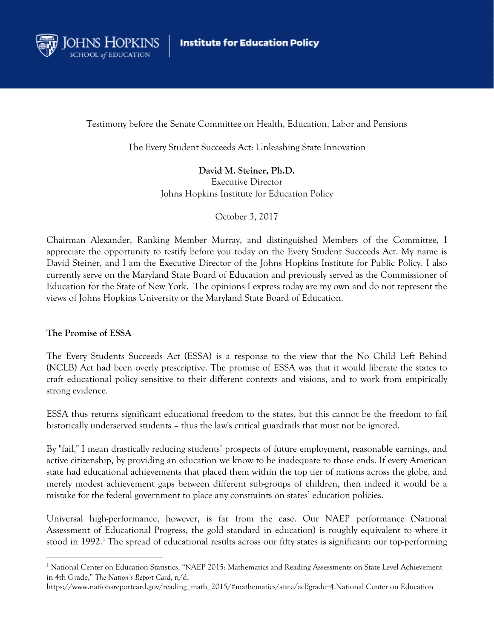

Testimony before the Senate Committee on Health, Education, Labor and Pensions

The Every Student Succeeds Act: Unleashing State Innovation

**David M. Steiner, Ph.D.**  Executive Director Johns Hopkins Institute for Education Policy

October 3, 2017

Chairman Alexander, Ranking Member Murray, and distinguished Members of the Committee, I appreciate the opportunity to testify before you today on the Every Student Succeeds Act. My name is David Steiner, and I am the Executive Director of the Johns Hopkins Institute for Public Policy. I also currently serve on the Maryland State Board of Education and previously served as the Commissioner of Education for the State of New York. The opinions I express today are my own and do not represent the views of Johns Hopkins University or the Maryland State Board of Education.

## **The Promise of ESSA**

 

The Every Students Succeeds Act (ESSA) is a response to the view that the No Child Left Behind (NCLB) Act had been overly prescriptive. The promise of ESSA was that it would liberate the states to craft educational policy sensitive to their different contexts and visions, and to work from empirically strong evidence.

ESSA thus returns significant educational freedom to the states, but this cannot be the freedom to fail historically underserved students – thus the law's critical guardrails that must not be ignored.

By "fail," I mean drastically reducing students' prospects of future employment, reasonable earnings, and active citizenship, by providing an education we know to be inadequate to those ends. If every American state had educational achievements that placed them within the top tier of nations across the globe, and merely modest achievement gaps between different sub-groups of children, then indeed it would be a mistake for the federal government to place any constraints on states' education policies.

Universal high-performance, however, is far from the case. Our NAEP performance (National Assessment of Educational Progress, the gold standard in education) is roughly equivalent to where it stood in 1992.<sup>1</sup> The spread of educational results across our fifty states is significant: our top-performing

<sup>&</sup>lt;sup>1</sup> National Center on Education Statistics, "NAEP 2015: Mathematics and Reading Assessments on State Level Achievement in 4th Grade," *The Nation's Report Card*, n/d,

https://www.nationsreportcard.gov/reading\_math\_2015/#mathematics/state/acl?grade=4.National Center on Education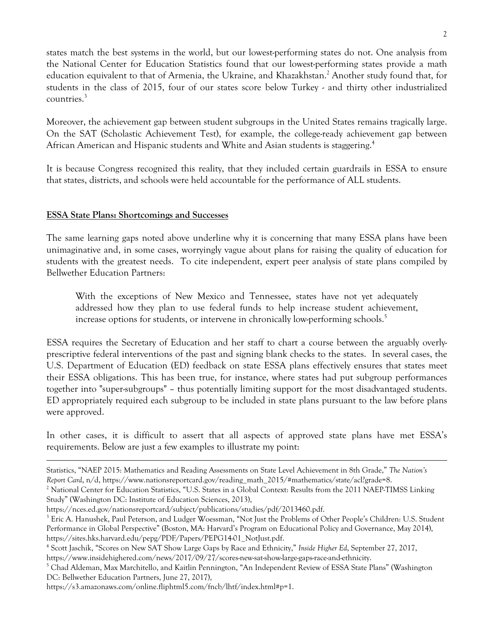states match the best systems in the world, but our lowest-performing states do not. One analysis from the National Center for Education Statistics found that our lowest-performing states provide a math education equivalent to that of Armenia, the Ukraine, and Khazakhstan.<sup>2</sup> Another study found that, for students in the class of 2015, four of our states score below Turkey - and thirty other industrialized countries.<sup>3</sup>

Moreover, the achievement gap between student subgroups in the United States remains tragically large. On the SAT (Scholastic Achievement Test), for example, the college-ready achievement gap between African American and Hispanic students and White and Asian students is staggering.<sup>4</sup>

It is because Congress recognized this reality, that they included certain guardrails in ESSA to ensure that states, districts, and schools were held accountable for the performance of ALL students.

## **ESSA State Plans: Shortcomings and Successes**

The same learning gaps noted above underline why it is concerning that many ESSA plans have been unimaginative and, in some cases, worryingly vague about plans for raising the quality of education for students with the greatest needs. To cite independent, expert peer analysis of state plans compiled by Bellwether Education Partners:

With the exceptions of New Mexico and Tennessee, states have not yet adequately addressed how they plan to use federal funds to help increase student achievement, increase options for students, or intervene in chronically low-performing schools.<sup>5</sup>

ESSA requires the Secretary of Education and her staff to chart a course between the arguably overlyprescriptive federal interventions of the past and signing blank checks to the states. In several cases, the U.S. Department of Education (ED) feedback on state ESSA plans effectively ensures that states meet their ESSA obligations. This has been true, for instance, where states had put subgroup performances together into "super-subgroups" – thus potentially limiting support for the most disadvantaged students. ED appropriately required each subgroup to be included in state plans pursuant to the law before plans were approved.

In other cases, it is difficult to assert that all aspects of approved state plans have met ESSA's requirements. Below are just a few examples to illustrate my point:

<u> 1989 - Andrea Santa Andrea Santa Andrea Santa Andrea Santa Andrea Santa Andrea Santa Andrea Santa Andrea San</u>

Statistics, "NAEP 2015: Mathematics and Reading Assessments on State Level Achievement in 8th Grade," *The Nation's Report Card*, n/d, https://www.nationsreportcard.gov/reading\_math\_2015/#mathematics/state/acl?grade=8.

<sup>&</sup>lt;sup>2</sup> National Center for Education Statistics, "U.S. States in a Global Context: Results from the 2011 NAEP-TIMSS Linking Study" (Washington DC: Institute of Education Sciences, 2013),

https://nces.ed.gov/nationsreportcard/subject/publications/studies/pdf/2013460.pdf. 3

<sup>&</sup>lt;sup>3</sup> Eric A. Hanushek, Paul Peterson, and Ludger Woessman, "Not Just the Problems of Other People's Children: U.S. Student Performance in Global Perspective" (Boston, MA: Harvard's Program on Educational Policy and Governance, May 2014), https://sites.hks.harvard.edu/pepg/PDF/Papers/PEPG14-01\_NotJust.pdf.

<sup>4</sup> Scott Jaschik, "Scores on New SAT Show Large Gaps by Race and Ethnicity," *Inside Higher Ed*, September 27, 2017, https://www.insidehighered.com/news/2017/09/27/scores-new-sat-show-large-gaps-race-and-ethnicity. 5

 $^5$  Chad Aldeman, Max Marchitello, and Kaitlin Pennington, "An Independent Review of ESSA State Plans" (Washington DC: Bellwether Education Partners, June 27, 2017),

https://s3.amazonaws.com/online.fliphtml5.com/fncb/lhtf/index.html#p=1.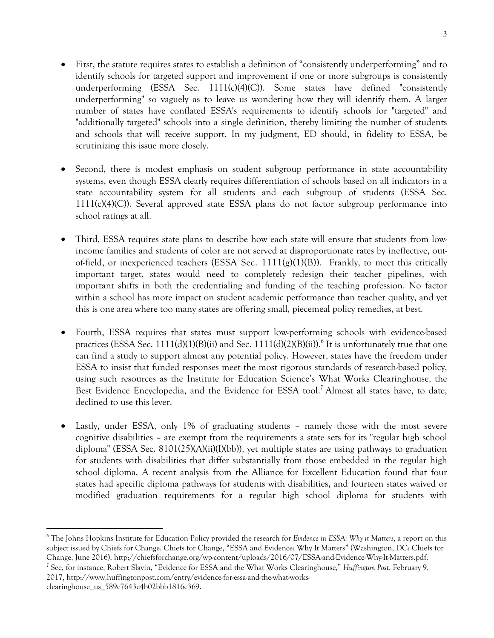- First, the statute requires states to establish a definition of "consistently underperforming" and to identify schools for targeted support and improvement if one or more subgroups is consistently underperforming (ESSA Sec.  $1111(c)(4)(C)$ ). Some states have defined "consistently underperforming" so vaguely as to leave us wondering how they will identify them. A larger number of states have conflated ESSA's requirements to identify schools for "targeted" and "additionally targeted" schools into a single definition, thereby limiting the number of students and schools that will receive support. In my judgment, ED should, in fidelity to ESSA, be scrutinizing this issue more closely.
- Second, there is modest emphasis on student subgroup performance in state accountability systems, even though ESSA clearly requires differentiation of schools based on all indicators in a state accountability system for all students and each subgroup of students (ESSA Sec.  $1111(c)(4)(C)$ ). Several approved state ESSA plans do not factor subgroup performance into school ratings at all.
- Third, ESSA requires state plans to describe how each state will ensure that students from lowincome families and students of color are not served at disproportionate rates by ineffective, outof-field, or inexperienced teachers (ESSA Sec.  $1111(g)(1)(B)$ ). Frankly, to meet this critically important target, states would need to completely redesign their teacher pipelines, with important shifts in both the credentialing and funding of the teaching profession. No factor within a school has more impact on student academic performance than teacher quality, and yet this is one area where too many states are offering small, piecemeal policy remedies, at best.
- Fourth, ESSA requires that states must support low-performing schools with evidence-based practices (ESSA Sec. 1111(d)(1)(B)(ii) and Sec. 1111(d)(2)(B)(ii)).<sup>6</sup> It is unfortunately true that one can find a study to support almost any potential policy. However, states have the freedom under ESSA to insist that funded responses meet the most rigorous standards of research-based policy, using such resources as the Institute for Education Science's What Works Clearinghouse, the Best Evidence Encyclopedia, and the Evidence for ESSA tool.<sup>7</sup> Almost all states have, to date, declined to use this lever.
- Lastly, under ESSA, only 1% of graduating students namely those with the most severe cognitive disabilities – are exempt from the requirements a state sets for its "regular high school diploma" (ESSA Sec. 8101(25)(A)(ii)(I)(bb)), yet multiple states are using pathways to graduation for students with disabilities that differ substantially from those embedded in the regular high school diploma. A recent analysis from the Alliance for Excellent Education found that four states had specific diploma pathways for students with disabilities, and fourteen states waived or modified graduation requirements for a regular high school diploma for students with

<sup>7</sup> See, for instance, Robert Slavin, "Evidence for ESSA and the What Works Clearinghouse," *Huffington Post*, February 9, 2017, http://www.huffingtonpost.com/entry/evidence-for-essa-and-the-what-works-

 

<sup>6</sup> The Johns Hopkins Institute for Education Policy provided the research for *Evidence in ESSA: Why it Matters*, a report on this subject issued by Chiefs for Change. Chiefs for Change, "ESSA and Evidence: Why It Matters" (Washington, DC: Chiefs for Change, June 2016), http://chiefsforchange.org/wp-content/uploads/2016/07/ESSA-and-Evidence-Why-It-Matters.pdf. 7

clearinghouse\_us\_589c7643e4b02bbb1816c369.